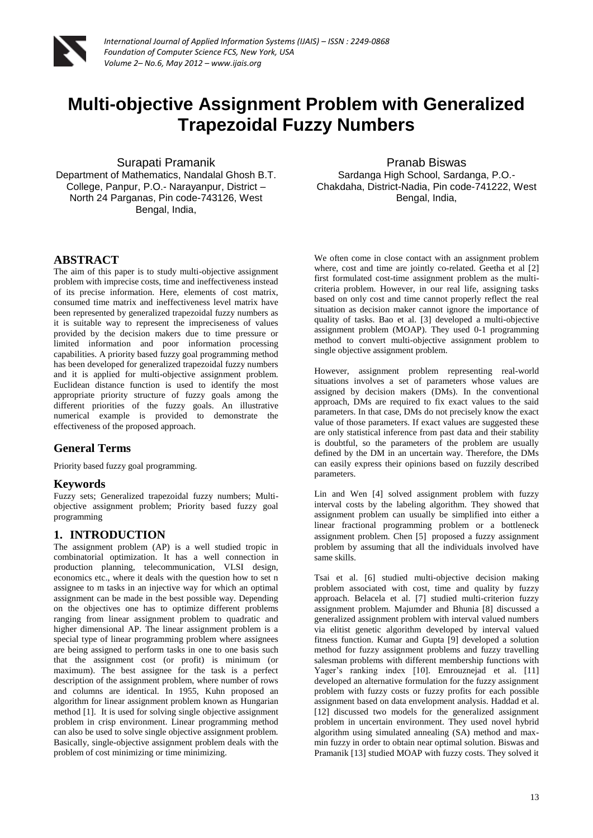

# **Multi-objective Assignment Problem with Generalized Trapezoidal Fuzzy Numbers**

Surapati Pramanik

Department of Mathematics, Nandalal Ghosh B.T. College, Panpur, P.O.- Narayanpur, District – North 24 Parganas, Pin code-743126, West Bengal, India,

#### **ABSTRACT**

The aim of this paper is to study multi-objective assignment problem with imprecise costs, time and ineffectiveness instead of its precise information. Here, elements of cost matrix, consumed time matrix and ineffectiveness level matrix have been represented by generalized trapezoidal fuzzy numbers as it is suitable way to represent the impreciseness of values provided by the decision makers due to time pressure or limited information and poor information processing capabilities. A priority based fuzzy goal programming method has been developed for generalized trapezoidal fuzzy numbers and it is applied for multi-objective assignment problem. Euclidean distance function is used to identify the most appropriate priority structure of fuzzy goals among the different priorities of the fuzzy goals. An illustrative numerical example is provided to demonstrate the effectiveness of the proposed approach.

## **General Terms**

Priority based fuzzy goal programming.

#### **Keywords**

Fuzzy sets; Generalized trapezoidal fuzzy numbers; Multiobjective assignment problem; Priority based fuzzy goal programming

## **1. INTRODUCTION**

The assignment problem (AP) is a well studied tropic in combinatorial optimization. It has a well connection in production planning, telecommunication, VLSI design, economics etc., where it deals with the question how to set n assignee to m tasks in an injective way for which an optimal assignment can be made in the best possible way. Depending on the objectives one has to optimize different problems ranging from linear assignment problem to quadratic and higher dimensional AP. The linear assignment problem is a special type of linear programming problem where assignees are being assigned to perform tasks in one to one basis such that the assignment cost (or profit) is minimum (or maximum). The best assignee for the task is a perfect description of the assignment problem, where number of rows and columns are identical. In 1955, Kuhn proposed an algorithm for linear assignment problem known as Hungarian method [1]. It is used for solving single objective assignment problem in crisp environment. Linear programming method can also be used to solve single objective assignment problem. Basically, single-objective assignment problem deals with the problem of cost minimizing or time minimizing.

Pranab Biswas Sardanga High School, Sardanga, P.O.-

Chakdaha, District-Nadia, Pin code-741222, West Bengal, India,

We often come in close contact with an assignment problem where, cost and time are jointly co-related. Geetha et al [2] first formulated cost-time assignment problem as the multicriteria problem. However, in our real life, assigning tasks based on only cost and time cannot properly reflect the real situation as decision maker cannot ignore the importance of quality of tasks. Bao et al. [3] developed a multi-objective assignment problem (MOAP). They used 0-1 programming method to convert multi-objective assignment problem to single objective assignment problem.

However, assignment problem representing real-world situations involves a set of parameters whose values are assigned by decision makers (DMs). In the conventional approach, DMs are required to fix exact values to the said parameters. In that case, DMs do not precisely know the exact value of those parameters. If exact values are suggested these are only statistical inference from past data and their stability is doubtful, so the parameters of the problem are usually defined by the DM in an uncertain way. Therefore, the DMs can easily express their opinions based on fuzzily described parameters.

Lin and Wen [4] solved assignment problem with fuzzy interval costs by the labeling algorithm. They showed that assignment problem can usually be simplified into either a linear fractional programming problem or a bottleneck assignment problem. Chen [5] proposed a fuzzy assignment problem by assuming that all the individuals involved have same skills.

Tsai et al. [6] studied multi-objective decision making problem associated with cost, time and quality by fuzzy approach. Belacela et al. [7] studied multi-criterion fuzzy assignment problem. Majumder and Bhunia [8] discussed a generalized assignment problem with interval valued numbers via elitist genetic algorithm developed by interval valued fitness function. Kumar and Gupta [9] developed a solution method for fuzzy assignment problems and fuzzy travelling salesman problems with different membership functions with Yager's ranking index [10]. Emrouznejad et al. [11] developed an alternative formulation for the fuzzy assignment problem with fuzzy costs or fuzzy profits for each possible assignment based on data envelopment analysis. Haddad et al. [12] discussed two models for the generalized assignment problem in uncertain environment. They used novel hybrid algorithm using simulated annealing (SA) method and maxmin fuzzy in order to obtain near optimal solution. Biswas and Pramanik [13] studied MOAP with fuzzy costs. They solved it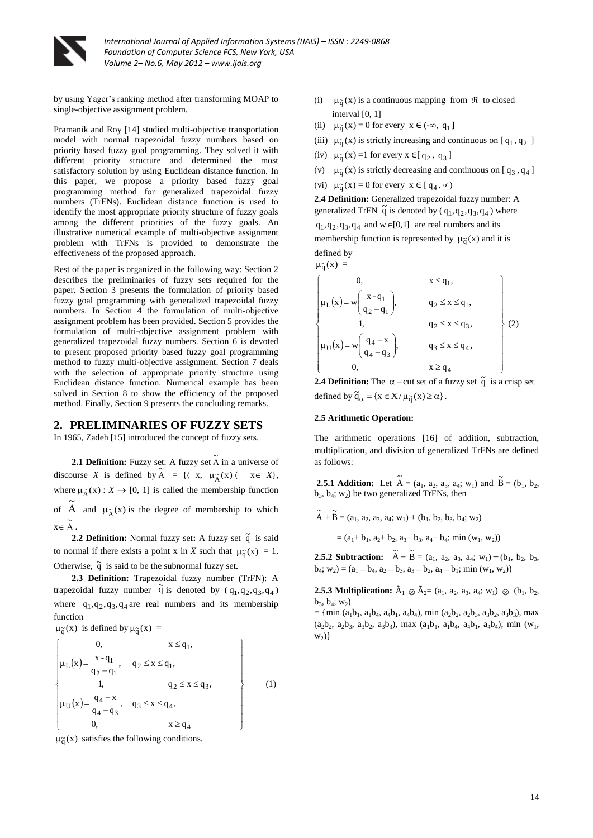

by using Yager's ranking method after transforming MOAP to single-objective assignment problem.

Pramanik and Roy [14] studied multi-objective transportation model with normal trapezoidal fuzzy numbers based on priority based fuzzy goal programming. They solved it with different priority structure and determined the most satisfactory solution by using Euclidean distance function. In this paper, we propose a priority based fuzzy goal programming method for generalized trapezoidal fuzzy numbers (TrFNs). Euclidean distance function is used to identify the most appropriate priority structure of fuzzy goals among the different priorities of the fuzzy goals. An illustrative numerical example of multi-objective assignment problem with TrFNs is provided to demonstrate the effectiveness of the proposed approach.

Rest of the paper is organized in the following way: Section 2 describes the preliminaries of fuzzy sets required for the paper. Section 3 presents the formulation of priority based fuzzy goal programming with generalized trapezoidal fuzzy numbers. In Section 4 the formulation of multi-objective assignment problem has been provided. Section 5 provides the formulation of multi-objective assignment problem with generalized trapezoidal fuzzy numbers. Section 6 is devoted to present proposed priority based fuzzy goal programming method to fuzzy multi-objective assignment. Section 7 deals with the selection of appropriate priority structure using Euclidean distance function. Numerical example has been solved in Section 8 to show the efficiency of the proposed method. Finally, Section 9 presents the concluding remarks.

#### **2. PRELIMINARIES OF FUZZY SETS**

In 1965, Zadeh [15] introduced the concept of fuzzy sets.

**2.1 Definition:** Fuzzy set: A fuzzy set  $\tilde{A}$  in a universe of discourse *X* is defined by  $\widetilde{A} = \{ \langle x, \mu_{\widetilde{A}}(x) \rangle \mid x \in X \},\$ where  $\mu_{\widetilde{A}}(x)$ :  $X \to [0, 1]$  is called the membership function of  $\tilde{A}$  and  $\mu_{\tilde{A}}(x)$  is the degree of membership to which  $x \in \widetilde{A}$ .

**2.2 Definition:** Normal fuzzy set: A fuzzy set  $\tilde{q}$  is said to normal if there exists a point x in *X* such that  $\mu_{\tilde{q}}(x) = 1$ . Otherwise,  $\tilde{q}$  is said to be the subnormal fuzzy set.

**2.3 Definition:** Trapezoidal fuzzy number (TrFN): A trapezoidal fuzzy number  $\tilde{q}$  is denoted by  $(q_1, q_2, q_3, q_4)$ where  $q_1, q_2, q_3, q_4$  are real numbers and its membership function

 $\mu_{\tilde{q}}(x)$  is defined by  $\mu_{\tilde{q}}(x) =$ 

$$
\begin{cases}\n0, & x \leq q_1, \\
\mu_L(x) = \frac{x - q_1}{q_2 - q_1}, & q_2 \leq x \leq q_1, \\
1, & q_2 \leq x \leq q_3, \\
\mu_U(x) = \frac{q_4 - x}{q_4 - q_3}, & q_3 \leq x \leq q_4, \\
0, & x \geq q_4\n\end{cases}
$$
\n(1)

 $\mu_{\tilde{q}}(x)$  satisfies the following conditions.

- (i)  $\mu_{\tilde{q}}(x)$  is a continuous mapping from  $\Re$  to closed interval [0, 1]
- (ii)  $\mu_{\tilde{q}}(x) = 0$  for every  $x \in (-\infty, q_1]$
- (iii)  $\mu_{\tilde{q}}(x)$  is strictly increasing and continuous on [q<sub>1</sub>,q<sub>2</sub>]
- (iv)  $\mu_{\tilde{q}}(x) = 1$  for every  $x \in [q_2, q_3]$
- (v)  $\mu_{\tilde{q}}(x)$  is strictly decreasing and continuous on [q<sub>3</sub>,q<sub>4</sub>]
- (vi)  $\mu_{\tilde{q}}(x) = 0$  for every  $x \in [q_4, \infty)$

**2.4 Definition:** Generalized trapezoidal fuzzy number: A generalized TrFN  $\tilde{q}$  is denoted by  $(q_1, q_2, q_3, q_4)$  where  $q_1, q_2, q_3, q_4$  and  $w \in [0,1]$  are real numbers and its membership function is represented by  $\mu_{\tilde{q}}(x)$  and it is defined by

$$
\mu_{\widetilde{q}}(x) =
$$

$$
\begin{cases}\n0, & x \leq q_1, \\
\mu_L(x) = w \left( \frac{x - q_1}{q_2 - q_1} \right), & q_2 \leq x \leq q_1, \\
1, & q_2 \leq x \leq q_3, \\
\mu_U(x) = w \left( \frac{q_4 - x}{q_4 - q_3} \right), & q_3 \leq x \leq q_4, \\
0, & x \geq q_4\n\end{cases}
$$
\n(2)

**2.4 Definition:** The  $\alpha$  – cut set of a fuzzy set  $\tilde{q}$  is a crisp set defined by  $\tilde{q}_{\alpha} = \{x \in X / \mu_{\tilde{q}}(x) \ge \alpha\}.$ 

#### **2.5 Arithmetic Operation:**

The arithmetic operations [16] of addition, subtraction, multiplication, and division of generalized TrFNs are defined as follows:

**2.5.1 <b>Addition:** Let  $\tilde{A} = (a_1, a_2, a_3, a_4; w_1)$  and  $\tilde{B} = (b_1, b_2, b_3, a_4; w_2)$  $b_3$ ,  $b_4$ ;  $w_2$ ) be two generalized TrFNs, then

 $\widetilde{A} + \widetilde{B} = (a_1, a_2, a_3, a_4; w_1) + (b_1, b_2, b_3, b_4; w_2)$ 

 $=(a_1+b_1, a_2+b_2, a_3+b_3, a_4+b_4; min(w_1, w_2))$ 

**2.5.2 Subtraction:**  $\tilde{A} - \tilde{B} = (a_1, a_2, a_3, a_4; w_1) - (b_1, b_2, b_3, b_4)$  $b_4$ ;  $w_2$ ) = ( $a_1$  –  $b_4$ ,  $a_2$  –  $b_3$ ,  $a_3$  –  $b_2$ ,  $a_4$  –  $b_1$ ; min ( $w_1$ ,  $w_2$ ))

**2.5.3 Multiplication:**  $\tilde{A}_1 \otimes \tilde{A}_2 = (a_1, a_2, a_3, a_4; w_1) \otimes (b_1, b_2, b_3)$  $b_3, b_4; w_2$ 

 $= \{ \min (a_1b_1, a_1b_4, a_4b_1, a_4b_4), \min (a_2b_2, a_2b_3, a_3b_2, a_3b_3), \max \}$  $(a_2b_2, a_2b_3, a_3b_2, a_3b_3)$ , max  $(a_1b_1, a_1b_4, a_4b_1, a_4b_4)$ ; min  $(w_1,$  $w_2)$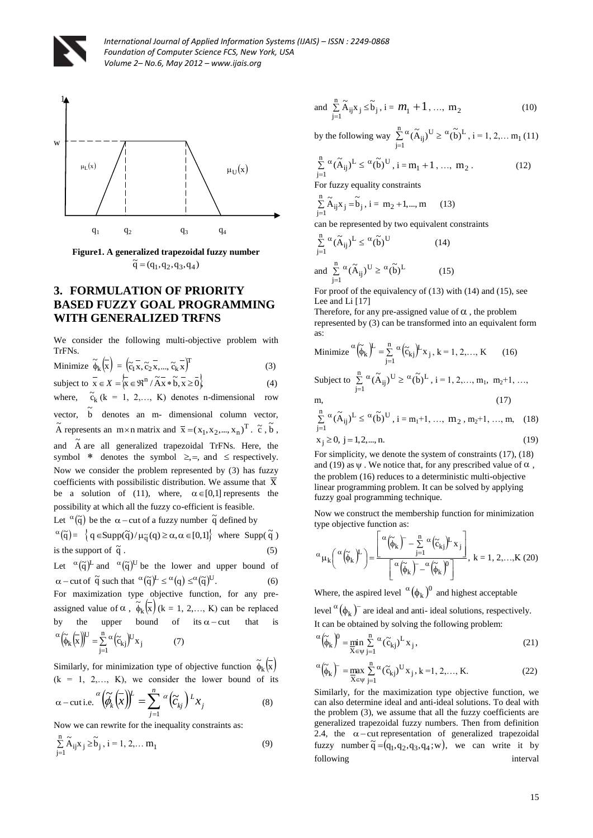



**Figure1. A generalized trapezoidal fuzzy number**   $\tilde{q} = (q_1, q_2, q_3, q_4)$ 

# **3. FORMULATION OF PRIORITY BASED FUZZY GOAL PROGRAMMING WITH GENERALIZED TRFNS**

We consider the following multi-objective problem with TrFNs.  $\lambda$ 

Minimize 
$$
\widetilde{\phi}_{k}(\overline{x}) = (\widetilde{c}_{1} \overline{x}, \widetilde{c}_{2} \overline{x}, ..., \widetilde{c}_{k} \overline{x})^{T}
$$
  
\nsubject to  $\overline{x} \in X = \overleftarrow{x} = \overline{\mathfrak{R}} \in \mathfrak{R}^{n} / \widetilde{A} \overline{x} * \widetilde{b}, \overline{x} \ge \overline{0}$  (3)

where,  $\tilde{c}_k$  (k = 1, 2,..., K) denotes n-dimensional row

vector,  $\tilde{b}$  denotes an m- dimensional column vector,  $\tilde{A}$  represents an m×n matrix and  $\bar{x} = (x_1, x_2, ..., x_n)^T$ .  $\tilde{c}$ ,  $\tilde{b}$ , and  $\tilde{A}$  are all generalized trapezoidal TrFNs. Here, the symbol \* denotes the symbol  $\geq, =$ , and  $\leq$  respectively. Now we consider the problem represented by (3) has fuzzy coefficients with possibilistic distribution. We assume that  $\bar{x}$ be a solution of (11), where,  $\alpha \in [0,1]$  represents the possibility at which all the fuzzy co-efficient is feasible.

Let  $\alpha$ ( $\tilde{q}$ ) be the  $\alpha$  – cut of a fuzzy number  $\tilde{q}$  defined by

$$
\alpha(\tilde{q}) = \left\{ q \in \text{Supp}(\tilde{q}) / \mu_{\tilde{q}}(q) \ge \alpha, \alpha \in [0,1] \right\} \text{ where } \text{Supp}(\tilde{q})
$$
  
is the support of  $\tilde{q}$ . (5)

Let  ${}^{\alpha}(\tilde{q})^{\text{L}}$  and  ${}^{\alpha}(\tilde{q})^{\text{U}}$  be the lower and upper bound of  $\alpha$  – cut of  $\tilde{q}$  such that  $\alpha(\tilde{q})^L \leq \alpha(q) \leq \alpha(\tilde{q})^U$ . (6) For maximization type objective function, for any preassigned value of  $\alpha$ ,  $\widetilde{\phi}_k(\overline{x})$  (k = 1, 2,..., K) can be replaced by the upper bound of its  $\alpha$  - cut that is  $(\widetilde{\phi}_k(\overline{x}))^U = \sum_{i=1}^n \alpha (\widetilde{c}_{kj})^U x_j$  $j=1$ .<br><sub>kj</sub>)<sup>U</sup> U  $(\widetilde{\phi}_k(\overline{x}))^U = \sum_{j=1}^n \alpha (\widetilde{c}_{kj})^U x$  $\alpha \left(\widetilde{\phi}_{k}\left(\overline{x}\right)\right)^{U} = \sum_{i=1}^{n} \alpha \left(\widetilde{c}_{k}^{U}\right)^{U} x_{i}$  (7)

Similarly, for minimization type of objective function  $\tilde{\phi}_k(\bar{x})$  $(k = 1, 2,..., K)$ , we consider the lower bound of its *n*

$$
\alpha - \text{cuti.e.} \begin{pmatrix} \alpha \\ \widetilde{\phi}_k \end{pmatrix} \begin{pmatrix} - \\ X \end{pmatrix}^{\mu} = \sum_{j=1}^n \alpha \Big( \widetilde{C}_{kj} \Big) L_{X_j} \tag{8}
$$

Now we can rewrite for the inequality constraints as:

$$
\sum_{j=1}^{n} \widetilde{A}_{ij} x_j \ge \widetilde{b}_j, i = 1, 2, \dots m_1
$$
\n(9)

and 
$$
\sum_{j=1}^{n} \tilde{A}_{ij} x_j \le \tilde{b}_j
$$
,  $i = m_1 + 1$ , ...,  $m_2$  (10)

by the following way  $\sum_{i=1}^{n} \alpha(\tilde{A}_{i,i})^{\mathrm{U}} \geq \alpha(\tilde{b})^{\mathrm{L}}$  $j=1$  $(\widetilde{A}_{ij})^U \geq \alpha(\widetilde{b})$  $\sum_{j=1}^{n} \alpha (\tilde{A}_{ij})^{U} \ge \alpha (\tilde{b})^{L}$ , i = 1, 2,... m<sub>1</sub> (11)

$$
\sum_{j=1}^{n} {}^{\alpha}(\tilde{A}_{ij})^{L} \le {}^{\alpha}(\tilde{b})^{U}, i = m_{1} + 1, ..., m_{2}. \qquad (12)
$$

For fuzzy equality constraints

$$
\sum_{j=1}^{n} \widetilde{A}_{ij} x_j = \widetilde{b}_j, i = m_2 + 1, ..., m \qquad (13)
$$

can be represented by two equivalent constraints

$$
\sum_{j=1}^{n} \alpha (\tilde{A}_{ij})^{L} \leq \alpha (\tilde{b})^{U}
$$
\nand\n
$$
\sum_{j=1}^{n} \alpha (\tilde{A}_{ij})^{U} \geq \alpha (\tilde{b})^{L}
$$
\n(14)

For proof of the equivalency of (13) with (14) and (15), see Lee and Li [17]

Therefore, for any pre-assigned value of  $\alpha$ , the problem represented by (3) can be transformed into an equivalent form as:

$$
\text{Minimize}^{\alpha} \left( \widetilde{\boldsymbol{\phi}}_{k} \right)^{L} = \sum_{j=1}^{n} \alpha \left( \widetilde{c}_{kj} \right)^{L} \mathbf{x}_{j}, k = 1, 2, \dots, K \tag{16}
$$

Subject to 
$$
\sum_{j=1}^{n} \alpha(\tilde{A}_{ij})^{U} \ge \alpha(\tilde{b})^{L}
$$
,  $i = 1, 2, ..., m_1, m_2+1, ...,$   
m, (17)

$$
\sum_{j=1}^{n} \alpha (\widetilde{A}_{ij})^{L} \leq \alpha (\widetilde{b})^{U}, i = m_1 + 1, ..., m_2, m_2 + 1, ..., m, (18)
$$

$$
x_j \ge 0, j = 1, 2, \dots, n. \tag{19}
$$

For simplicity, we denote the system of constraints (17), (18) and (19) as  $\psi$ . We notice that, for any prescribed value of  $\alpha$ , the problem (16) reduces to a deterministic multi-objective linear programming problem. It can be solved by applying fuzzy goal programming technique.

Now we construct the membership function for minimization type objective function as:

$$
\alpha_{\mu_{k}}\left(\alpha(\widetilde{\phi}_{k})^{L}\right) = \frac{\left[\alpha(\widetilde{\phi}_{k})^{-} - \sum_{j=1}^{n} \alpha(\widetilde{c}_{kj})^{L} x_{j}\right]}{\left[\alpha(\widetilde{\phi}_{k})^{-} - \alpha(\widetilde{\phi}_{k})^{0}\right]}, k = 1, 2, ..., K (20)
$$

Where, the aspired level  $\alpha(\phi_k)^0$  and highest acceptable

level  $\alpha(\phi_k)^-$  are ideal and anti-ideal solutions, respectively. It can be obtained by solving the following problem:

$$
\alpha \left(\widetilde{\phi}_{k}\right)^{0} = \min_{X \in \psi} \sum_{j=1}^{n} \alpha \left(\widetilde{c}_{kj}\right)^{L} x_{j},\tag{21}
$$

$$
\alpha\left(\widetilde{\phi}_{k}\right)^{-} = \max_{\overline{X} \in \Psi} \sum_{j=1}^{n} \alpha\left(\widetilde{c}_{kj}\right)^{U} x_{j}, k = 1, 2, ..., K.
$$
\n(22)

Similarly, for the maximization type objective function, we can also determine ideal and anti-ideal solutions. To deal with the problem (3), we assume that all the fuzzy coefficients are generalized trapezoidal fuzzy numbers. Then from definition 2.4, the  $\alpha$ -cut representation of generalized trapezoidal fuzzy number  $\tilde{q} = (q_1, q_2, q_3, q_4; w)$ , we can write it by following interval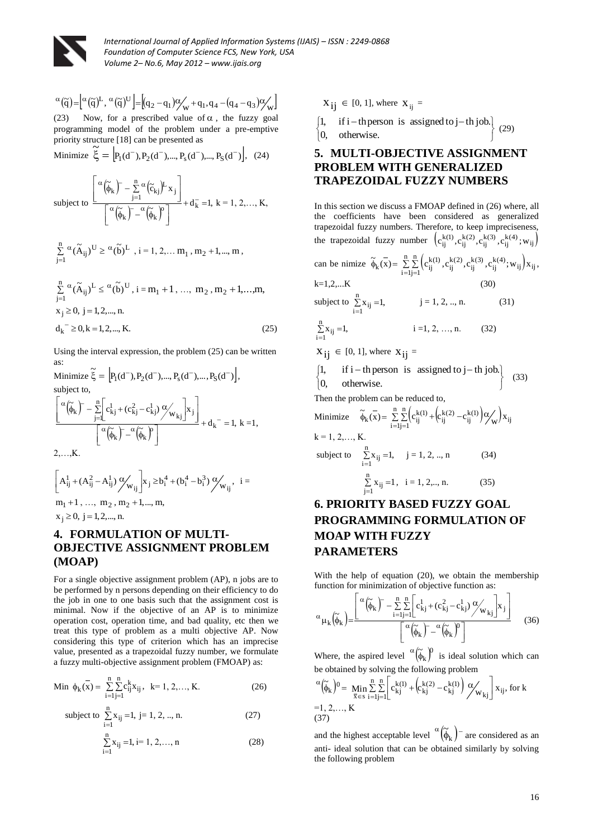

$$
\alpha(\tilde{q}) = \left[ \alpha(\tilde{q})^L, \alpha(\tilde{q})^U \right] = \left[ (q_2 - q_1) \alpha \left( \alpha + q_1, q_4 - (q_4 - q_3) \alpha \right) \right]
$$
\n(23) Now, for a prescribed value of  $\alpha$ , the fuzzy goal programming model of the problem under a pre-empty priority structure [18] can be presented as

Minimize 
$$
\tilde{\xi} = [P_1(d^-), P_2(d^-), ..., P_s(d^-), ..., P_S(d^-)],
$$
 (24)

subject to 
$$
\frac{\left[\alpha\left(\widetilde{\phi}_k\right)^- - \sum_{j=1}^n \alpha\left(\widetilde{c}_{kj}\right)^L x_j\right]}{\left[\alpha\left(\widetilde{\phi}_k\right)^- - \alpha\left(\widetilde{\phi}_k\right)^c\right]} + d_k^- = 1, \ k = 1, 2, ..., K,
$$

$$
\sum_{j=1}^n\,^\alpha (\widetilde A_{ij})^U\geq \phantom{-}^\alpha (\widetilde b)^L\ ,\ i=1,2,\ldots m_1\ ,\ m_2+1,...,m\ ,
$$

$$
\sum_{j=1}^{n} \alpha (\tilde{A}_{ij})^{L} \leq \alpha (\tilde{b})^{U}, i = m_1 + 1, ..., m_2, m_2 + 1, ..., m,
$$
  

$$
x_j \geq 0, j = 1, 2, ..., n.
$$
  

$$
d_k^- \geq 0, k = 1, 2, ..., K.
$$
 (25)

Using the interval expression, the problem (25) can be written as:

Minimize 
$$
\tilde{\xi} = [P_1(d^-), P_2(d^-), ..., P_s(d^-), ..., P_S(d^-)]
$$
,  
\nsubject to,  
\n
$$
\left[ \frac{\alpha(\tilde{\phi}_k) - \sum_{j=1}^n \left[ c_{kj}^1 + (c_{kj}^2 - c_{kj}^1) \frac{\alpha}{w_{kj}} \right] x_j}{\alpha(\tilde{\phi}_k) - \alpha(\tilde{\phi}_k)^n} \right] + d_k^- = 1, k = 1,
$$

2, . . . <u>.</u> 1

$$
\[A_{ij}^1 + (A_{ij}^2 - A_{ij}^1) \mathcal{V}_{w_{ij}}\]x_j \geq b_i^4 + (b_i^4 - b_i^3) \mathcal{V}_{w_{ij}}, \ \ i =
$$

 $m_1 + 1, \ldots, m_2, m_2 + 1, \ldots, m,$  $x_j \ge 0, j = 1,2,..., n.$ 

# **4. FORMULATION OF MULTI-OBJECTIVE ASSIGNMENT PROBLEM (MOAP)**

(b)  $\frac{1}{2}$  (b)  $\frac{1}{2}$  (b)  $\frac{1}{2}$  (b)  $\frac{1}{2}$  (b)  $\frac{1}{2}$  (b)  $\frac{1}{2}$  (b)  $\frac{1}{2}$  (b)  $\frac{1}{2}$  (b)  $\frac{1}{2}$  (d)  $\frac{1}{2}$  (d)  $\frac{1}{2}$  (d)  $\frac{1}{2}$  (d)  $\frac{1}{2}$  (d)  $\frac{1}{2}$  (d)  $\frac{1}{2}$  (d)  $\frac{1}{2$ For a single objective assignment problem (AP), n jobs are to be performed by n persons depending on their efficiency to do the job in one to one basis such that the assignment cost is minimal. Now if the objective of an AP is to minimize operation cost, operation time, and bad quality, etc then we treat this type of problem as a multi objective AP. Now considering this type of criterion which has an imprecise value, presented as a trapezoidal fuzzy number, we formulate a fuzzy multi-objective assignment problem (FMOAP) as:

Min 
$$
\phi_k(\mathbf{x}) = \sum_{i=1}^{n} \sum_{j=1}^{n} c_{ij}^k x_{ij}, \quad k=1, 2, ..., K.
$$
 (26)

subject to 
$$
\sum_{i=1}^{n} x_{ij} = 1, j = 1, 2, ..., n.
$$
 (27)

$$
\sum_{i=1}^{n} x_{ij} = 1, i = 1, 2, ..., n
$$
 (28)

 $X_{ij} \in [0, 1]$ , where  $X_{ij} =$ 

$$
\begin{cases}\n1, & \text{if } i-th \text{ person is assigned to } j-th \text{ job.} \\
0, & \text{otherwise.}\n\end{cases}
$$
\n
$$
\begin{cases}\n(29) \\
(129)\n\end{cases}
$$

# **5. MULTI-OBJECTIVE ASSIGNMENT PROBLEM WITH GENERALIZED TRAPEZOIDAL FUZZY NUMBERS**

In this section we discuss a FMOAP defined in (26) where, all the coefficients have been considered as generalized trapezoidal fuzzy numbers. Therefore, to keep impreciseness, the trapezoidal fuzzy number  $(c_{ij}^{k(1)}, c_{ij}^{k(2)}, c_{ij}^{k(3)}, c_{ij}^{k(4)}; w_{ij})$ 

can be mimic 
$$
\overline{\phi}_k(\overline{x}) = \sum_{i=1}^n \sum_{j=1}^n (c_{ij}^{k(1)}, c_{ij}^{k(2)}, c_{ij}^{k(3)}, c_{ij}^{k(4)}; w_{ij}) x_{ij}
$$
,

$$
k=1,2,...K\tag{30}
$$

subject to 
$$
\sum_{i=1}^{n} x_{ij} = 1
$$
,  $j = 1, 2, ..., n$ . (31)

$$
\sum_{i=1}^{n} x_{ij} = 1, \qquad i = 1, 2, ..., n. \qquad (32)
$$

 $X_{ij} \in [0, 1]$ , where  $X_{ij} =$ 

$$
\begin{cases} 1, & \text{if } i-th \text{ person is assigned to } j-th \text{ job.} \\ 0, & \text{otherwise.} \end{cases}
$$
 (33)

Then the problem can be reduced to,

Minimize 
$$
\vec{\phi}_k(\vec{x}) = \sum_{i=1}^n \sum_{j=1}^n (c_{ij}^{k(1)} + (c_{ij}^{k(2)} - c_{ij}^{k(1)}) \alpha_{\vec{w}})
$$
 $x_{ij}$   
\n $k = 1, 2, ..., K.$   
\nsubject to  $\sum_{i=1}^n x_{ij} = 1, j = 1, 2, ..., n$  (34)

subject to 
$$
\sum_{i=1}^{n} x_{ij} = 1, \quad j = 1, 2, ..., n
$$
 (34)  
 $\sum_{j=1}^{n} x_{ij} = 1, \quad i = 1, 2, ..., n.$  (35)

# **6. PRIORITY BASED FUZZY GOAL PROGRAMMING FORMULATION OF MOAP WITH FUZZY PARAMETERS**

With the help of equation (20), we obtain the membership function for minimization of objective function as:

$$
\alpha_{\mu_k}(\widetilde{\phi}_k) = \frac{\left[ \alpha(\widetilde{\phi}_k) - \sum_{i=1}^n \sum_{j=1}^n \left[ c_{kj}^1 + (c_{kj}^2 - c_{kj}^1) \frac{\alpha}{\mu_{kj}} \right] x_j \right]}{\left[ \alpha(\widetilde{\phi}_k) - \alpha(\widetilde{\phi}_k)^0 \right]}
$$
(36)

Where, the aspired level  $\alpha(\tilde{\phi}_k)$ <sup>0</sup>  $\alpha(\tilde{\phi}_k)^0$  is ideal solution which can be obtained by solving the following problem

$$
\alpha \left( \widetilde{\phi}_{k} \right) = \min_{\overline{x} \in s} \sum_{i=1}^{n} \sum_{j=1}^{n} \left[ c_{kj}^{k(1)} + \left( c_{kj}^{k(2)} - c_{kj}^{k(1)} \right) \alpha_{W_{kj}}' \right] x_{ij}, \text{ for } k
$$
  
=1, 2,..., K  
(37)

and the highest acceptable level  $\alpha(\tilde{\phi}_k)$  are considered as an anti- ideal solution that can be obtained similarly by solving the following problem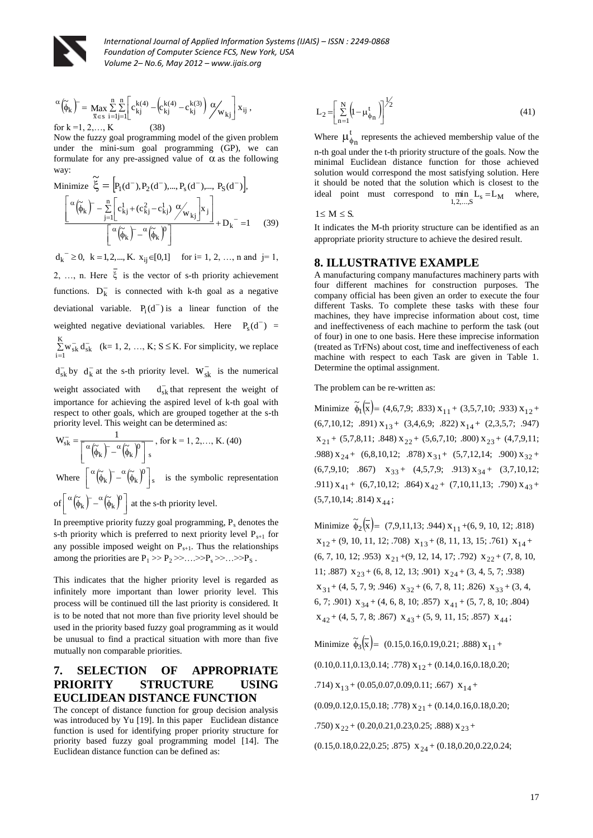

$$
\alpha\left(\widetilde{\phi}_k\right)^{T} = \max_{\overline{x} \in s} \sum_{i=1}^{n} \sum_{j=1}^{n} \left[c_{kj}^{k(4)} - \left(c_{kj}^{k(4)} - c_{kj}^{k(3)}\right)\mathcal{O}_{W_{kj}}\right]x_{ij},
$$

for  $k = 1, 2, ..., K$  (38)

Now the fuzzy goal programming model of the given problem under the mini-sum goal programming (GP), we can formulate for any pre-assigned value of  $\alpha$  as the following way:

$$
\begin{aligned}\n\text{Minimize } \widetilde{\xi} &= \left[ P_1(d^-), P_2(d^-), \dots, P_s(d^-), \dots, P_S(d^-) \right], \\
&\left[ \frac{\alpha(\widetilde{\phi}_k) - \sum\limits_{j=1}^n \left[ c_{kj}^1 + (c_{kj}^2 - c_{kj}^1) \frac{\alpha}{\omega_{kj}} \right] x_j}{\left[ \frac{\alpha(\widetilde{\phi}_k) - \alpha(\widetilde{\phi}_k)^0}{\left[ \frac{\alpha}{\omega_{kj}} \right]^2} \right]} + D_k \right] = 1 \quad (39)\n\end{aligned}
$$

(h)  $-\frac{1}{2\sqrt{3}}\left(-\frac{1}{3}\sqrt{3}\right)^{3/2} - \frac{1}{3\sqrt{3}}\left(-\frac{1}{3}\sqrt{3}\right)^{3/2} - \frac{1}{3\sqrt{3}}\left(-\frac{1}{3}\sqrt{3}\right)^{3/2} - \frac{1}{3\sqrt{3}}\left(-\frac{1}{3}\sqrt{3}\right)^{3/2} - \frac{1}{3\sqrt{3}}\left(-\frac{1}{3}\sqrt{3}\right)^{3/2} - \frac{1}{3\sqrt{3}}\left(-\frac{1}{3}\sqrt{3}\right)^{3/2} - \frac{1}{3\sqrt{3}}\left(-\frac{1$  $d_k^{\text{-}} \geq 0$ ,  $k = 1, 2, ..., K$ .  $x_{ij} \in [0,1]$  for i= 1, 2, ..., n and j= 1,  $2, \ldots, n$ . Here  $\xi$  is the vector of s-th priority achievement functions.  $D_k^-$  is connected with k-th goal as a negative deviational variable.  $P_i(d^-)$  is a linear function of the weighted negative deviational variables. Here  $P_s(d^-)$  =  $\sum_{i=1}$  $K = -1$  $\sum_{i=1}^{n} w_{sk}^{-1} d_{sk}^{-1}$  (k= 1, 2, ..., K; S  $\leq$  K. For simplicity, we replace  $d_{sk}^-$  by  $d_k^-$  at the s-th priority level.  $W_{sk}^-$  is the numerical

weight associated with  $d_{sk}^-$  that represent the weight of importance for achieving the aspired level of k-th goal with respect to other goals, which are grouped together at the s-th priority level. This weight can be determined as:

$$
W_{sk}^{-} = \frac{1}{\left[\alpha \left(\tilde{\phi}_k\right)^{-} - \alpha \left(\tilde{\phi}_k\right)^{0}\right]_{s}}, \text{ for } k = 1, 2, ..., K. (40)
$$
  
Where 
$$
\left[\alpha \left(\tilde{\phi}_k\right)^{-} - \alpha \left(\tilde{\phi}_k\right)^{0}\right]_{s}
$$
 is the symbolic representation  
of 
$$
\left[\alpha \left(\tilde{\phi}_k\right)^{-} - \alpha \left(\tilde{\phi}_k\right)^{0}\right]_{s}
$$
 at the s-th priority level.

In preemptive priority fuzzy goal programming,  $P_s$  denotes the s-th priority which is preferred to next priority level  $P_{s+1}$  for any possible imposed weight on  $P_{s+1}$ . Thus the relationships among the priorities are  $P_1 \gg P_2 \gg \dots \gg P_s \gg \dots \gg P_s$ .

This indicates that the higher priority level is regarded as infinitely more important than lower priority level. This process will be continued till the last priority is considered. It is to be noted that not more than five priority level should be used in the priority based fuzzy goal programming as it would be unusual to find a practical situation with more than five mutually non comparable priorities.

# **7. SELECTION OF APPROPRIATE PRIORITY STRUCTURE USING EUCLIDEAN DISTANCE FUNCTION**

The concept of distance function for group decision analysis was introduced by Yu [19]. In this paper Euclidean distance function is used for identifying proper priority structure for priority based fuzzy goal programming model [14]. The Euclidean distance function can be defined as:

$$
L_2 = \left[\sum_{n=1}^{N} \left(\mu - \mu_{\phi_n}^{t}\right)\right]^{1/2} \tag{41}
$$

Where  $\mu_c^t$  $\mu_{\phi_n}^t$  represents the achieved membership value of the n-th goal under the t-th priority structure of the goals. Now the minimal Euclidean distance function for those achieved solution would correspond the most satisfying solution. Here it should be noted that the solution which is closest to the ideal point must correspond to  $\min_{1,2,...,S} L_s = L_M$  where,

 $1 \le M \le S$ .

It indicates the M-th priority structure can be identified as an appropriate priority structure to achieve the desired result.

#### **8. ILLUSTRATIVE EXAMPLE**

A manufacturing company manufactures machinery parts with four different machines for construction purposes. The company official has been given an order to execute the four different Tasks. To complete these tasks with these four machines, they have imprecise information about cost, time and ineffectiveness of each machine to perform the task (out of four) in one to one basis. Here these imprecise information (treated as TrFNs) about cost, time and ineffectiveness of each machine with respect to each Task are given in Table 1. Determine the optimal assignment.

The problem can be re-written as:

Minimize  $\tilde{\phi}_1(\overline{x}) = (4,6,7,9; .833) x_{11} + (3,5,7,10; .933) x_{12} +$  $(6,7,10,12; .891)$   $X_{13}$  +  $(3,4,6,9; .822)$   $X_{14}$  +  $(2,3,5,7; .947)$  $x_{21}$  + (5,7,8,11; .848)  $x_{22}$  + (5,6,7,10; .800)  $x_{23}$  + (4,7,9,11; .988)  $x_{24}$  + (6,8,10,12; .878)  $x_{31}$  + (5,7,12,14; .900)  $x_{32}$  +  $(6,7,9,10; .867)$   $x_{33}$  +  $(4,5,7,9; .913)$   $x_{34}$  +  $(3,7,10,12;$ .911)  $x_{41}$  + (6,7,10,12; .864)  $x_{42}$  + (7,10,11,13; .790)  $x_{43}$  +  $(5,7,10,14; .814)$   $X_{44}$ ;

Minimize  $\tilde{\phi}_2(\overline{x}) = (7,9,11,13; .944) x_{11} + (6,9,10,12; .818)$  $x_{12} + (9, 10, 11, 12; .708)$   $x_{13} + (8, 11, 13, 15; .761)$   $x_{14} +$  $(6, 7, 10, 12; .953)$   $X_{21} + (9, 12, 14, 17; .792)$   $X_{22} + (7, 8, 10, 12; .953)$ 11; .887)  $x_{23} + (6, 8, 12, 13; .901) x_{24} + (3, 4, 5, 7; .938)$  $x_{31}$  + (4, 5, 7, 9; .946)  $x_{32}$  + (6, 7, 8, 11; .826)  $x_{33}$  + (3, 4, 6, 7; .901)  $x_{34} + (4, 6, 8, 10; .857) x_{41} + (5, 7, 8, 10; .804)$  $x_{42} + (4, 5, 7, 8; .867) x_{43} + (5, 9, 11, 15; .857) x_{44};$ 

Minimize  $\widetilde{\phi}_3(\overline{x}) = (0.15, 0.16, 0.19, 0.21; .888) x_{11} +$  $(0.10, 0.11, 0.13, 0.14; .778)$   $X_{12} + (0.14, 0.16, 0.18, 0.20;$ .714)  $x_{13}$  + (0.05,0.07,0.09,0.11; .667)  $x_{14}$  +  $(0.09, 0.12, 0.15, 0.18; .778)$   $X_{21} + (0.14, 0.16, 0.18, 0.20;$ .750)  $x_{22}$  + (0.20,0.21,0.23,0.25; .888)  $x_{23}$  +  $(0.15, 0.18, 0.22, 0.25; .875)$   $X_{24} + (0.18, 0.20, 0.22, 0.24;$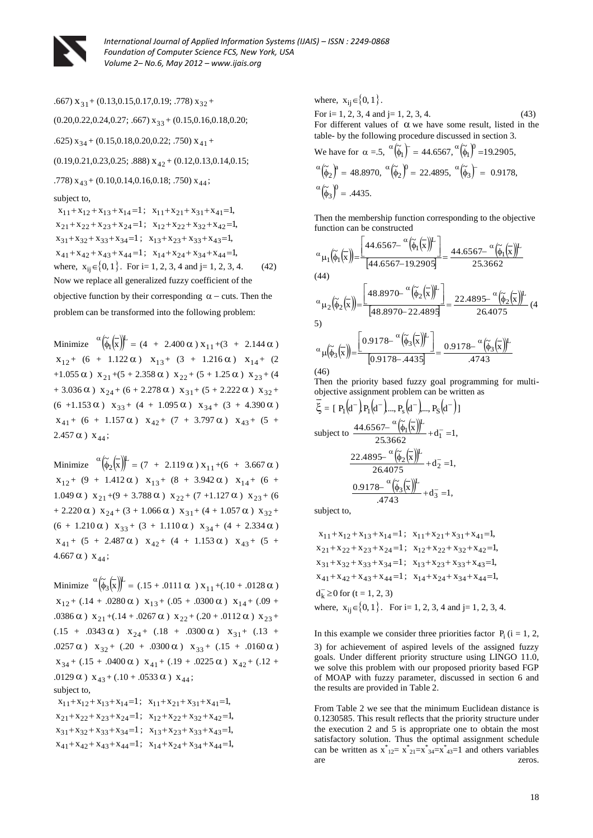

.667)  $x_{31}$  + (0.13,0.15,0.17,0.19; .778)  $x_{32}$  +  $(0.20, 0.22, 0.24, 0.27; .667)$   $x_{33} + (0.15, 0.16, 0.18, 0.20;$ .625)  $x_{34}$  + (0.15,0.18,0.20,0.22; .750)  $x_{41}$  +  $(0.19, 0.21, 0.23, 0.25; .888)$   $X_{42} + (0.12, 0.13, 0.14, 0.15;$ .778)  $x_{43}$  + (0.10,0.14,0.16,0.18; .750)  $x_{44}$ ; subject to,  $x_{11} + x_{12} + x_{13} + x_{14} = 1$ ;  $x_{11} + x_{21} + x_{31} + x_{41} = 1$ ,  $x_{21} + x_{22} + x_{23} + x_{24} = 1$ ;  $x_{12} + x_{22} + x_{32} + x_{42} = 1$ ,  $x_{31} + x_{32} + x_{33} + x_{34} = 1$ ;  $x_{13} + x_{23} + x_{33} + x_{43} = 1$ ,  $x_{41} + x_{42} + x_{43} + x_{44} = 1$ ;  $x_{14} + x_{24} + x_{34} + x_{44} = 1$ , where,  $x_{ij} \in \{0, 1\}$ . For i= 1, 2, 3, 4 and j= 1, 2, 3, 4. (42) Now we replace all generalized fuzzy coefficient of the objective function by their corresponding  $\alpha$  – cuts. Then the problem can be transformed into the following problem:

Minimize  $\alpha \left( \frac{\alpha}{\phi_1} \left( \frac{\alpha}{x} \right) \right)^L = (4 + 2.400 \, \alpha) \, x_{11} + (3 + 2.144 \, \alpha)$  $x_{12}$ + (6 + 1.122  $\alpha$ )  $x_{13}$ + (3 + 1.216  $\alpha$ )  $x_{14}$ + (2 +1.055  $\alpha$ )  $x_{21}$  +(5 + 2.358  $\alpha$ )  $x_{22}$  + (5 + 1.25  $\alpha$ )  $x_{23}$  + (4 + 3.036  $\alpha$ )  $x_{24}$  + (6 + 2.278  $\alpha$ )  $x_{31}$  + (5 + 2.222  $\alpha$ )  $x_{32}$  + (6 +1.153  $\alpha$ )  $x_{33} + (4 + 1.095 \alpha) x_{34} + (3 + 4.390 \alpha)$  $x_{41}$ + (6 + 1.157  $\alpha$ )  $x_{42}$ + (7 + 3.797  $\alpha$ )  $x_{43}$ + (5 +  $2.457 \alpha$ )  $x_{44}$ ;

Minimize  $\alpha \left( \frac{\alpha}{2} \left( \frac{\alpha}{x} \right) \right)^{L} = (7 + 2.119 \alpha) x_{11} + (6 + 3.667 \alpha)$  $x_{12}$ + (9 + 1.412  $\alpha$ )  $x_{13}$ + (8 + 3.942  $\alpha$ )  $x_{14}$ + (6 + 1.049  $\alpha$ )  $x_{21} + (9 + 3.788 \alpha) x_{22} + (7 + 1.127 \alpha) x_{23} + (6$ + 2.220  $\alpha$ )  $x_{24}$  + (3 + 1.066  $\alpha$ )  $x_{31}$  + (4 + 1.057  $\alpha$ )  $x_{32}$  +  $(6 + 1.210 \alpha)$   $x_{33} + (3 + 1.110 \alpha)$   $x_{34} + (4 + 2.334 \alpha)$  $x_{41}$  + (5 + 2.487  $\alpha$ )  $x_{42}$  + (4 + 1.153  $\alpha$ )  $x_{43}$  + (5 +  $4.667 \alpha$ )  $x_{44}$ ;

Minimize  ${}^{\alpha}(\tilde{\phi}_3(\bar{x}))^{\mathbf{L}} = (.15 + .0111 \alpha) x_{11} + (.10 + .0128 \alpha)$  $x_{12}$  + (.14 + .0280  $\alpha$ )  $x_{13}$  + (.05 + .0300  $\alpha$ )  $x_{14}$  + (.09 + .0386  $\alpha$ )  $x_{21} + (0.14 + 0.0267 \alpha) x_{22} + (0.20 + 0.0112 \alpha) x_{23} +$  $(.15 + .0343 \alpha)$   $x_{24} + (.18 + .0300 \alpha)$   $x_{31} + (.13 + .0300 \alpha)$ .0257  $\alpha$ )  $x_{32} + (.20 + .0300 \alpha) x_{33} + (.15 + .0160 \alpha)$  $x_{34}$  + (.15 + .0400  $\alpha$ )  $x_{41}$  + (.19 + .0225  $\alpha$ )  $x_{42}$  + (.12 + .0129  $\alpha$ )  $x_{43} + (.10 + .0533 \alpha) x_{44}$ ; subject to,  $x_{11}+x_{12}+x_{13}+x_{14}=1$ ;  $x_{11}+x_{21}+x_{31}+x_{41}=1$ ,  $x_{21}+x_{22}+x_{23}+x_{24}=1$ ;  $x_{12}+x_{22}+x_{32}+x_{42}=1$ ,  $x_{31} + x_{32} + x_{33} + x_{34} = 1$ ;  $x_{13} + x_{23} + x_{33} + x_{43} = 1$ ,  $x_{41} + x_{42} + x_{43} + x_{44} = 1$ ;  $x_{14} + x_{24} + x_{34} + x_{44} = 1$ ,

where,  $x_{ij} \in \{0, 1\}$ . For i= 1, 2, 3, 4 and j= 1, 2, 3, 4. (43) For different values of  $\alpha$  we have some result, listed in the table- by the following procedure discussed in section 3. We have for  $\alpha = .5$ ,  $\alpha \left( \tilde{\phi}_1 \right)$  =  $(\tilde{\phi}_1)^{T} = 44.6567, \ \ {(\tilde{\phi}_1)}^{0} = 19.2905,$  $\alpha\left(\tilde{\phi}_{2}\right)^{a} =$  $(\widetilde{\phi}_2)^a = 48.8970, \ \ \alpha(\widetilde{\phi}_2)^0 =$  $(\tilde{\phi}_2)^0 = 22.4895, \ \ ^{\alpha}(\tilde{\phi}_3)^{-1} =$  $(\tilde{\phi}_3)$  = 0.9178,  $\alpha(\tilde{\phi}_3)^0 =$  $(\tilde{\phi}_3)^0 = .4435.$ 

Then the membership function corresponding to the objective function can be constructed

$$
\alpha_{\mu_1}(\tilde{\phi}_1(\overline{x})) = \frac{\left[44.6567 - \frac{\alpha(\tilde{\phi}_1(\overline{x}))^L}{(44.6567 - 19.2905)}\right]}{44.6567 - \frac{\alpha(\tilde{\phi}_1(\overline{x}))^L}{25.3662}}
$$
\n
$$
\alpha_{\mu_2}(\tilde{\phi}_2(\overline{x})) = \frac{\left[48.8970 - \frac{\alpha(\tilde{\phi}_2(\overline{x}))^L}{(48.8970 - 22.4895)}\right]}{48.8970 - 22.4895} = \frac{22.4895 - \frac{\alpha(\tilde{\phi}_2(\overline{x}))^L}{26.4075}}{26.4075} \tag{4}
$$
\n5)

$$
\mu(\widetilde{\phi}_3(\overline{x})) = \frac{\left[0.9178 - \frac{\alpha}{(\widetilde{\phi}_3(\overline{x}))^{L}}\right]}{\left[0.9178 - .4435\right]} = \frac{0.9178 - \frac{\alpha}{(\widetilde{\phi}_3(\overline{x}))^{L}}}{.4743}
$$

 $(46)$ 

Then the priority based fuzzy goal programming for multiobjective assignment problem can be written as

$$
\xi = [P_1(d^-)P_1(d^-)..., P_s(d^-)..., P_s(d^-)]
$$
  
subject to 
$$
\frac{44.6567-{}^{\alpha}(\tilde{\phi}_1(\bar{x}))^{\text{L}}}{25.3662} + d_1^- = 1,
$$

$$
\frac{22.4895-{}^{\alpha}(\tilde{\phi}_2(\bar{x}))^{\text{L}}}{26.4075} + d_2^- = 1,
$$

$$
\frac{0.9178-{}^{\alpha}(\tilde{\phi}_3(\bar{x}))^{\text{L}}}{.4743} + d_3^- = 1,
$$

subject to,

$$
x_{11} + x_{12} + x_{13} + x_{14} = 1; \quad x_{11} + x_{21} + x_{31} + x_{41} = 1,
$$
  
\n
$$
x_{21} + x_{22} + x_{23} + x_{24} = 1; \quad x_{12} + x_{22} + x_{32} + x_{42} = 1,
$$
  
\n
$$
x_{31} + x_{32} + x_{33} + x_{34} = 1; \quad x_{13} + x_{23} + x_{33} + x_{43} = 1,
$$
  
\n
$$
x_{41} + x_{42} + x_{43} + x_{44} = 1; \quad x_{14} + x_{24} + x_{34} + x_{44} = 1,
$$
  
\n
$$
d_k^- \ge 0 \text{ for } (t = 1, 2, 3)
$$
  
\nwhere,  $x_{ij} \in \{0, 1\}$ . For i= 1, 2, 3, 4 and j= 1, 2, 3, 4.

In this example we consider three priorities factor  $P_i$  (i = 1, 2, 3) for achievement of aspired levels of the assigned fuzzy goals. Under different priority structure using LINGO 11.0, we solve this problem with our proposed priority based FGP of MOAP with fuzzy parameter, discussed in section 6 and the results are provided in Table 2.

From Table 2 we see that the minimum Euclidean distance is 0.1230585. This result reflects that the priority structure under the execution 2 and 5 is appropriate one to obtain the most satisfactory solution. Thus the optimal assignment schedule can be written as  $x^*_{12} = x^*_{21} = x^*_{34} = x^*_{43} = 1$  and others variables are zeros.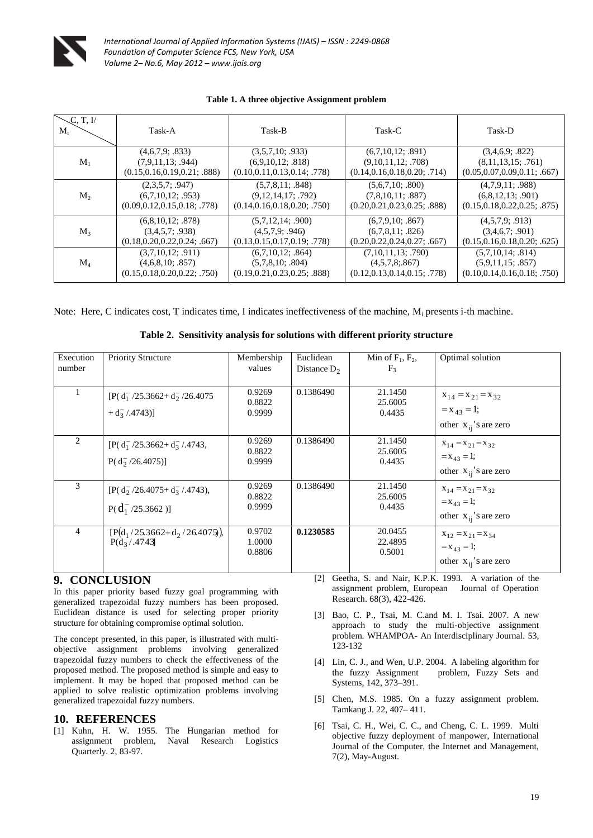

|  |  | Table 1. A three objective Assignment problem |
|--|--|-----------------------------------------------|
|--|--|-----------------------------------------------|

| C. T. I/<br>$M_i$ | Task-A                         | Task-B                         | Task-C                         | Task-D                         |
|-------------------|--------------------------------|--------------------------------|--------------------------------|--------------------------------|
| $M_1$             | (4,6,7,9; .833)                | (3,5,7,10; .933)               | (6,7,10,12; .891)              | (3,4,6,9; .822)                |
|                   | (7,9,11,13; .944)              | (6,9,10,12; .818)              | (9,10,11,12; .708)             | (8,11,13,15; .761)             |
|                   | (0.15, 0.16, 0.19, 0.21; .888) | (0.10, 0.11, 0.13, 0.14; .778) | (0.14, 0.16, 0.18, 0.20; .714) | (0.05, 0.07, 0.09, 0.11; .667) |
| $M_{2}$           | (2,3,5,7; .947)                | (5,7,8,11; .848)               | (5,6,7,10; .800)               | (4,7,9,11; .988)               |
|                   | (6,7,10,12; .953)              | (9,12,14,17; .792)             | (7,8,10,11; .887)              | (6,8,12,13; .901)              |
|                   | (0.09, 0.12, 0.15, 0.18; .778) | (0.14, 0.16, 0.18, 0.20; .750) | (0.20, 0.21, 0.23, 0.25; .888) | (0.15, 0.18, 0.22, 0.25; .875) |
| $M_{3}$           | (6,8,10,12; .878)              | (5,7,12,14; .900)              | (6,7,9,10; .867)               | (4,5,7,9; .913)                |
|                   | (3,4,5,7; .938)                | (4.5.7.9; .946)                | (6,7,8,11; .826)               | (3,4,6,7; .901)                |
|                   | (0.18, 0.20, 0.22, 0.24; .667) | (0.13, 0.15, 0.17, 0.19; .778) | (0.20, 0.22, 0.24, 0.27; .667) | (0.15, 0.16, 0.18, 0.20; .625) |
| $M_4$             | (3,7,10,12; .911)              | (6,7,10,12; .864)              | (7,10,11,13; .790)             | (5,7,10,14; .814)              |
|                   | (4,6,8,10; .857)               | (5,7,8,10; .804)               | (4,5,7,8;867)                  | (5,9,11,15; .857)              |
|                   | (0.15, 0.18, 0.20, 0.22, .750) | (0.19, 0.21, 0.23, 0.25; .888) | (0.12, 0.13, 0.14, 0.15; .778) | (0.10, 0.14, 0.16, 0.18; .750) |

Note: Here, C indicates cost, T indicates time, I indicates ineffectiveness of the machine, M<sub>i</sub> presents i-th machine.

| Execution<br>number | <b>Priority Structure</b>                                                      | Membership<br>values       | Euclidean<br>Distance $D_2$ | Min of $F_1$ , $F_2$ ,<br>$F_3$ | Optimal solution                                                         |
|---------------------|--------------------------------------------------------------------------------|----------------------------|-----------------------------|---------------------------------|--------------------------------------------------------------------------|
|                     | $[P(d_1^-/25.3662 + d_2^-/26.4075$<br>$+ d_3^- / .4743$ ]                      | 0.9269<br>0.8822<br>0.9999 | 0.1386490                   | 21.1450<br>25.6005<br>0.4435    | $X_{14} = X_{21} = X_{32}$<br>$=x_{43}=1;$<br>other $x_{ii}$ 's are zero |
| 2                   | $[P(d_1^-/25.3662 + d_3^- / .4743,$<br>$P(d_2^-/26.4075)]$                     | 0.9269<br>0.8822<br>0.9999 | 0.1386490                   | 21.1450<br>25.6005<br>0.4435    | $X_{14} = X_{21} = X_{32}$<br>$=x_{43}=1;$<br>other $x_{ii}$ 's are zero |
| 3                   | $[P(d_2^{\text{-}}/26.4075 + d_3^{\text{-}}/0.4743),]$<br>$P(d_1^-/25.3662)$ ] | 0.9269<br>0.8822<br>0.9999 | 0.1386490                   | 21.1450<br>25.6005<br>0.4435    | $X_{14} = X_{21} = X_{32}$<br>$=x_{43}=1;$<br>other $x_{ii}$ 's are zero |
| 4                   | $[P(d_1/25.3662+d_2/26.4075)],$<br>$P(d_3 / .4743)$                            | 0.9702<br>1.0000<br>0.8806 | 0.1230585                   | 20.0455<br>22.4895<br>0.5001    | $X_{12} = X_{21} = X_{34}$<br>$=x_{43}=1;$<br>other $x_{ii}$ 's are zero |

#### **9. CONCLUSION**

In this paper priority based fuzzy goal programming with generalized trapezoidal fuzzy numbers has been proposed. Euclidean distance is used for selecting proper priority structure for obtaining compromise optimal solution.

The concept presented, in this paper, is illustrated with multiobjective assignment problems involving generalized trapezoidal fuzzy numbers to check the effectiveness of the proposed method. The proposed method is simple and easy to implement. It may be hoped that proposed method can be applied to solve realistic optimization problems involving generalized trapezoidal fuzzy numbers.

#### **10. REFERENCES**

[1] Kuhn, H. W. 1955. The Hungarian method for assignment problem, Naval Research Logistics Quarterly. 2, 83-97.

[2] Geetha, S. and Nair, K.P.K. 1993. A variation of the assignment problem, European Journal of Operation Research. 68(3), 422-426.

- [3] Bao, C. P., Tsai, M. C.and M. I. Tsai. 2007. A new approach to study the multi-objective assignment problem. WHAMPOA- An Interdisciplinary Journal. 53, 123-132
- [4] Lin, C. J., and Wen, U.P. 2004. A labeling algorithm for the fuzzy Assignment problem, Fuzzy Sets and Systems, 142, 373–391.
- [5] Chen, M.S. 1985. On a fuzzy assignment problem. Tamkang J. 22, 407– 411.
- [6] Tsai, C. H., Wei, C. C., and Cheng, C. L. 1999. Multi objective fuzzy deployment of manpower, International Journal of the Computer, the Internet and Management, 7(2), May-August.